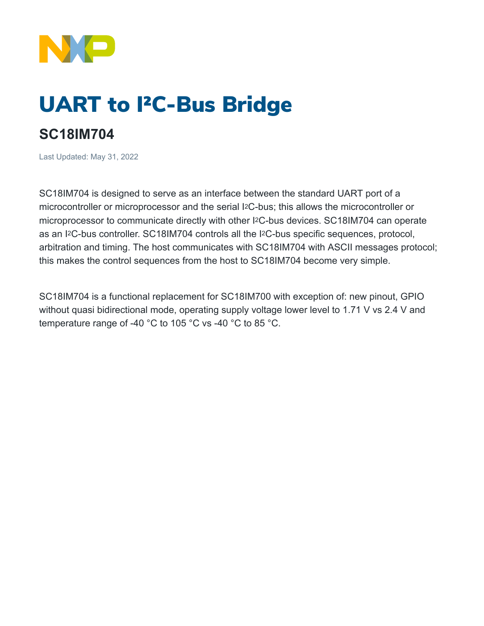

# UART to I²C-Bus Bridge

# **SC18IM704**

Last Updated: May 31, 2022

SC18IM704 is designed to serve as an interface between the standard UART port of a microcontroller or microprocessor and the serial I2C-bus; this allows the microcontroller or microprocessor to communicate directly with other I2C-bus devices. SC18IM704 can operate as an I2C-bus controller. SC18IM704 controls all the I2C-bus specific sequences, protocol, arbitration and timing. The host communicates with SC18IM704 with ASCII messages protocol; this makes the control sequences from the host to SC18IM704 become very simple.

SC18IM704 is a functional replacement for SC18IM700 with exception of: new pinout, GPIO without quasi bidirectional mode, operating supply voltage lower level to 1.71 V vs 2.4 V and temperature range of -40 °C to 105 °C vs -40 °C to 85 °C.